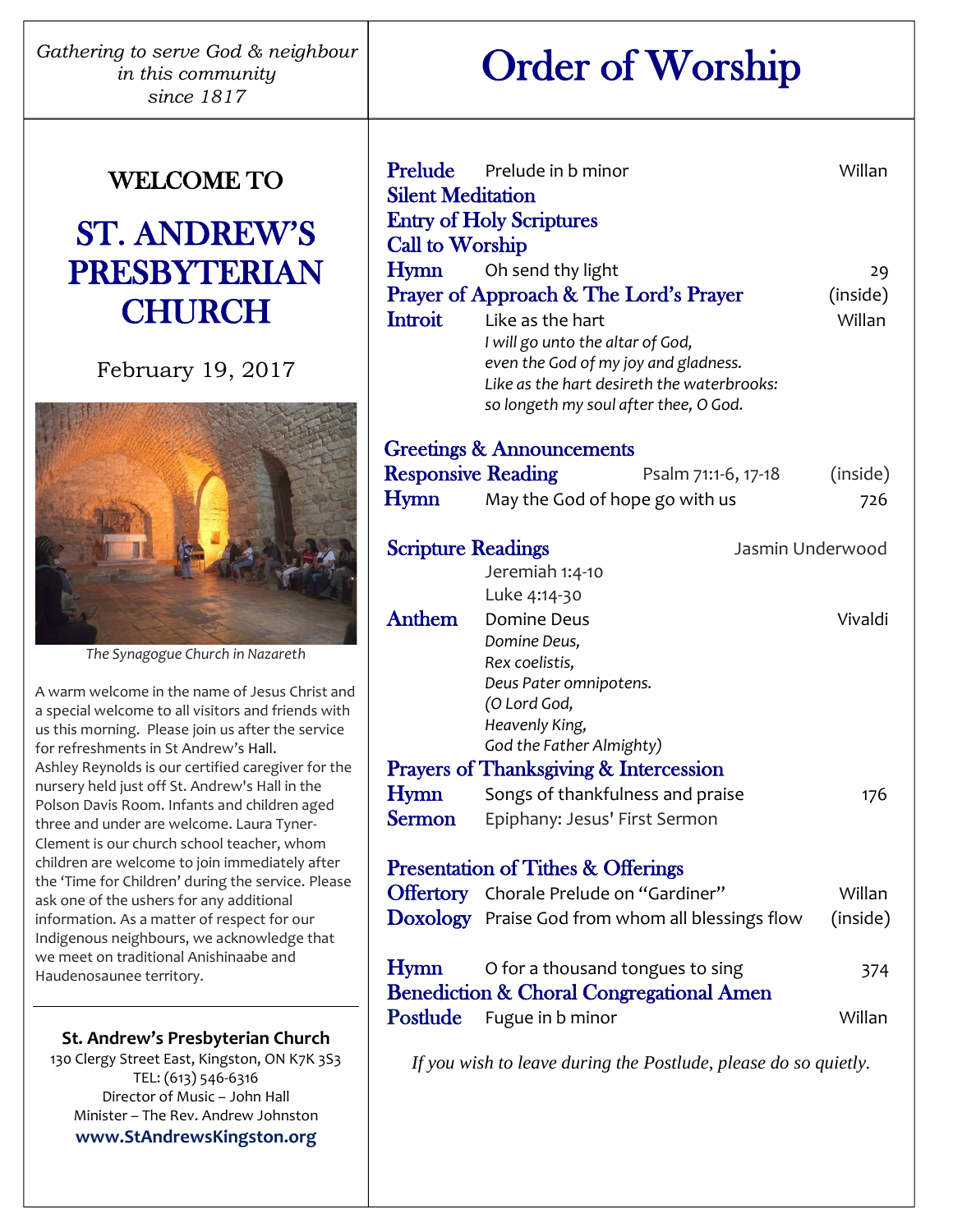*Gathering to serve God & neighbour in this community since 1817*

# Order of Worship

# WELCOME TO

# ST. ANDREW'S PRESBYTERIAN **CHURCH**

February 19, 2017



*The Synagogue Church in Nazareth*

A warm welcome in the name of Jesus Christ and a special welcome to all visitors and friends with us this morning. Please join us after the service for refreshments in St Andrew's Hall. Ashley Reynolds is our certified caregiver for the nursery held just off St. Andrew's Hall in the Polson Davis Room. Infants and children aged three and under are welcome. Laura Tyner-Clement is our church school teacher, whom children are welcome to join immediately after the 'Time for Children' during the service. Please ask one of the ushers for any additional information. As a matter of respect for our Indigenous neighbours, we acknowledge that we meet on traditional Anishinaabe and Haudenosaunee territory.

# **St. Andrew's Presbyterian Church**

130 Clergy Street East, Kingston, ON K7K 3S3 TEL: (613) 546-6316 Director of Music – John Hall Minister – The Rev. Andrew Johnston **www.StAndrewsKingston.org**

| <b>Silent Meditation</b><br><b>Call to Worship</b><br>Hymn | <b>Prelude</b> Prelude in b minor<br><b>Entry of Holy Scriptures</b><br>Oh send thy light                                                                                                                                                        | Willan<br>29                |  |  |
|------------------------------------------------------------|--------------------------------------------------------------------------------------------------------------------------------------------------------------------------------------------------------------------------------------------------|-----------------------------|--|--|
|                                                            | Prayer of Approach & The Lord's Prayer                                                                                                                                                                                                           | (inside)                    |  |  |
| <b>Introit</b>                                             | Like as the hart<br>I will go unto the altar of God,<br>even the God of my joy and gladness.<br>Like as the hart desireth the waterbrooks:<br>so longeth my soul after thee, O God.                                                              | Willan                      |  |  |
|                                                            | <b>Greetings &amp; Announcements</b>                                                                                                                                                                                                             |                             |  |  |
| <b>Responsive Reading</b>                                  | Psalm 71:1-6, 17-18                                                                                                                                                                                                                              | (inside)                    |  |  |
| Hymn                                                       | May the God of hope go with us                                                                                                                                                                                                                   | 726                         |  |  |
| <b>Scripture Readings</b><br>Anthem                        | Jeremiah 1:4-10<br>Luke 4:14-30<br><b>Domine Deus</b>                                                                                                                                                                                            | Jasmin Underwood<br>Vivaldi |  |  |
| <b>Hymn</b><br><b>Sermon</b>                               | Domine Deus,<br>Rex coelistis,<br>Deus Pater omnipotens.<br>(O Lord God,<br>Heavenly King,<br>God the Father Almighty)<br><b>Prayers of Thanksgiving &amp; Intercession</b><br>Songs of thankfulness and praise<br>Epiphany: Jesus' First Sermon | 176                         |  |  |
| <b>Presentation of Tithes &amp; Offerings</b>              |                                                                                                                                                                                                                                                  |                             |  |  |
|                                                            | Offertory Chorale Prelude on "Gardiner"                                                                                                                                                                                                          | Willan                      |  |  |
|                                                            | Doxology Praise God from whom all blessings flow                                                                                                                                                                                                 | (inside)                    |  |  |
| <b>Hymn</b><br>Postlude                                    | O for a thousand tongues to sing<br><b>Benediction &amp; Choral Congregational Amen</b><br>Fugue in b minor                                                                                                                                      | 374<br>Willan               |  |  |

*If you wish to leave during the Postlude, please do so quietly.*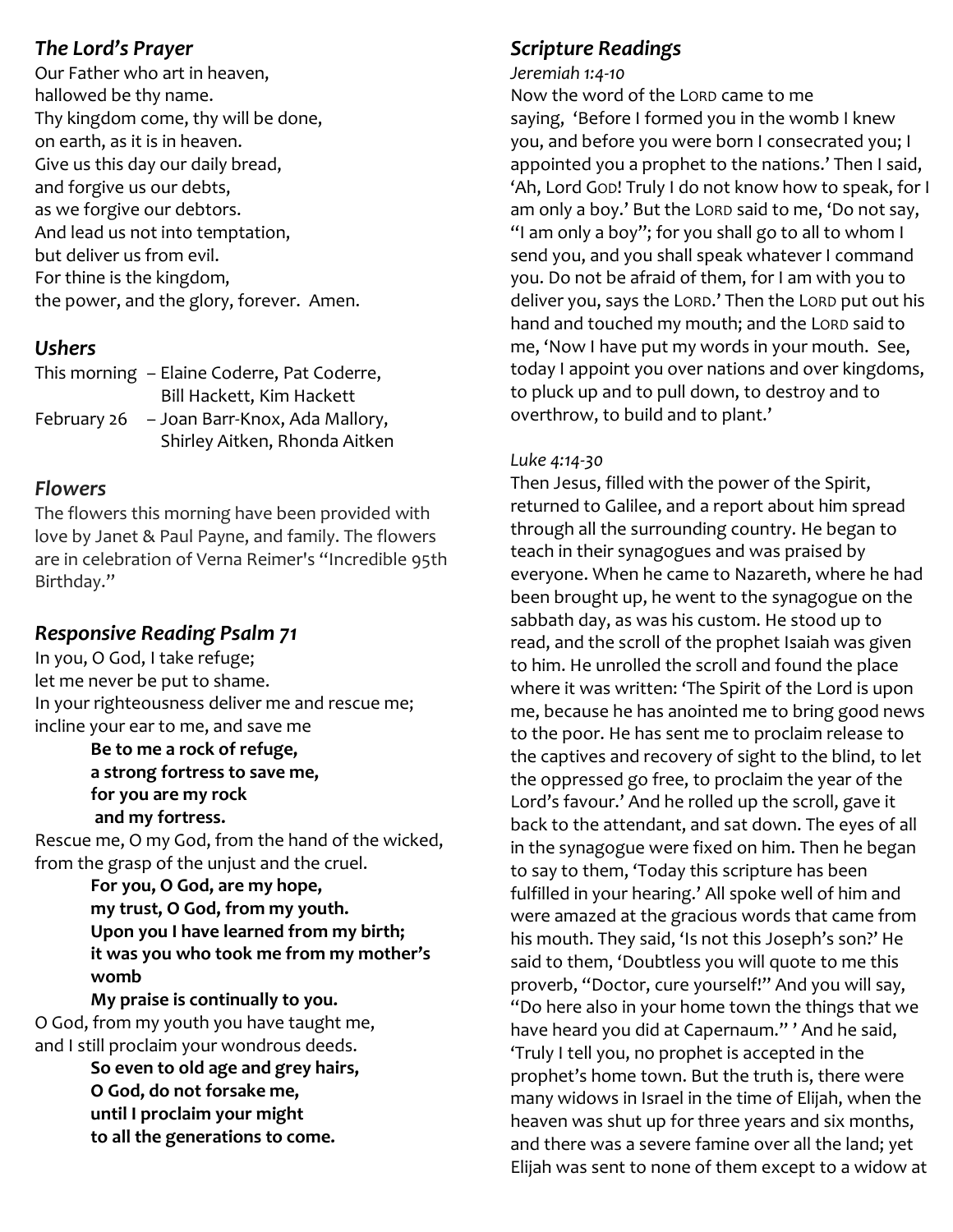# *The Lord's Prayer*

Our Father who art in heaven, hallowed be thy name. Thy kingdom come, thy will be done, on earth, as it is in heaven. Give us this day our daily bread, and forgive us our debts, as we forgive our debtors. And lead us not into temptation, but deliver us from evil. For thine is the kingdom, the power, and the glory, forever. Amen.

# *Ushers*

|             | This morning – Elaine Coderre, Pat Coderre, |
|-------------|---------------------------------------------|
|             | Bill Hackett, Kim Hackett                   |
| February 26 | - Joan Barr-Knox, Ada Mallory,              |
|             | Shirley Aitken, Rhonda Aitken               |
|             |                                             |

# *Flowers*

The flowers this morning have been provided with love by Janet & Paul Payne, and family. The flowers are in celebration of Verna Reimer's "Incredible 95th Birthday."

# *Responsive Reading Psalm 71*

In you, O God, I take refuge; let me never be put to shame. In your righteousness deliver me and rescue me; incline your ear to me, and save me

> **Be to me a rock of refuge, a strong fortress to save me, for you are my rock and my fortress.**

Rescue me, O my God, from the hand of the wicked, from the grasp of the unjust and the cruel.

> **For you, O God, are my hope, my trust, O God, from my youth. Upon you I have learned from my birth; it was you who took me from my mother's womb**

#### **My praise is continually to you.**

O God, from my youth you have taught me, and I still proclaim your wondrous deeds.

> **So even to old age and grey hairs, O God, do not forsake me, until I proclaim your might to all the generations to come.**

# *Scripture Readings*

#### *Jeremiah 1:4-10*

Now the word of the LORD came to me saying, 'Before I formed you in the womb I knew you, and before you were born I consecrated you; I appointed you a prophet to the nations.' Then I said, 'Ah, Lord GOD! Truly I do not know how to speak, for I am only a boy.' But the LORD said to me, 'Do not say, "I am only a boy"; for you shall go to all to whom I send you, and you shall speak whatever I command you. Do not be afraid of them, for I am with you to deliver you, says the LORD.' Then the LORD put out his hand and touched my mouth; and the LORD said to me, 'Now I have put my words in your mouth. See, today I appoint you over nations and over kingdoms, to pluck up and to pull down, to destroy and to overthrow, to build and to plant.'

#### *Luke 4:14-30*

Then Jesus, filled with the power of the Spirit, returned to Galilee, and a report about him spread through all the surrounding country. He began to teach in their synagogues and was praised by everyone. When he came to Nazareth, where he had been brought up, he went to the synagogue on the sabbath day, as was his custom. He stood up to read, and the scroll of the prophet Isaiah was given to him. He unrolled the scroll and found the place where it was written: 'The Spirit of the Lord is upon me, because he has anointed me to bring good news to the poor. He has sent me to proclaim release to the captives and recovery of sight to the blind, to let the oppressed go free, to proclaim the year of the Lord's favour.' And he rolled up the scroll, gave it back to the attendant, and sat down. The eyes of all in the synagogue were fixed on him. Then he began to say to them, 'Today this scripture has been fulfilled in your hearing.' All spoke well of him and were amazed at the gracious words that came from his mouth. They said, 'Is not this Joseph's son?' He said to them, 'Doubtless you will quote to me this proverb, "Doctor, cure yourself!" And you will say, "Do here also in your home town the things that we have heard you did at Capernaum." ' And he said, 'Truly I tell you, no prophet is accepted in the prophet's home town. But the truth is, there were many widows in Israel in the time of Elijah, when the heaven was shut up for three years and six months, and there was a severe famine over all the land; yet Elijah was sent to none of them except to a widow at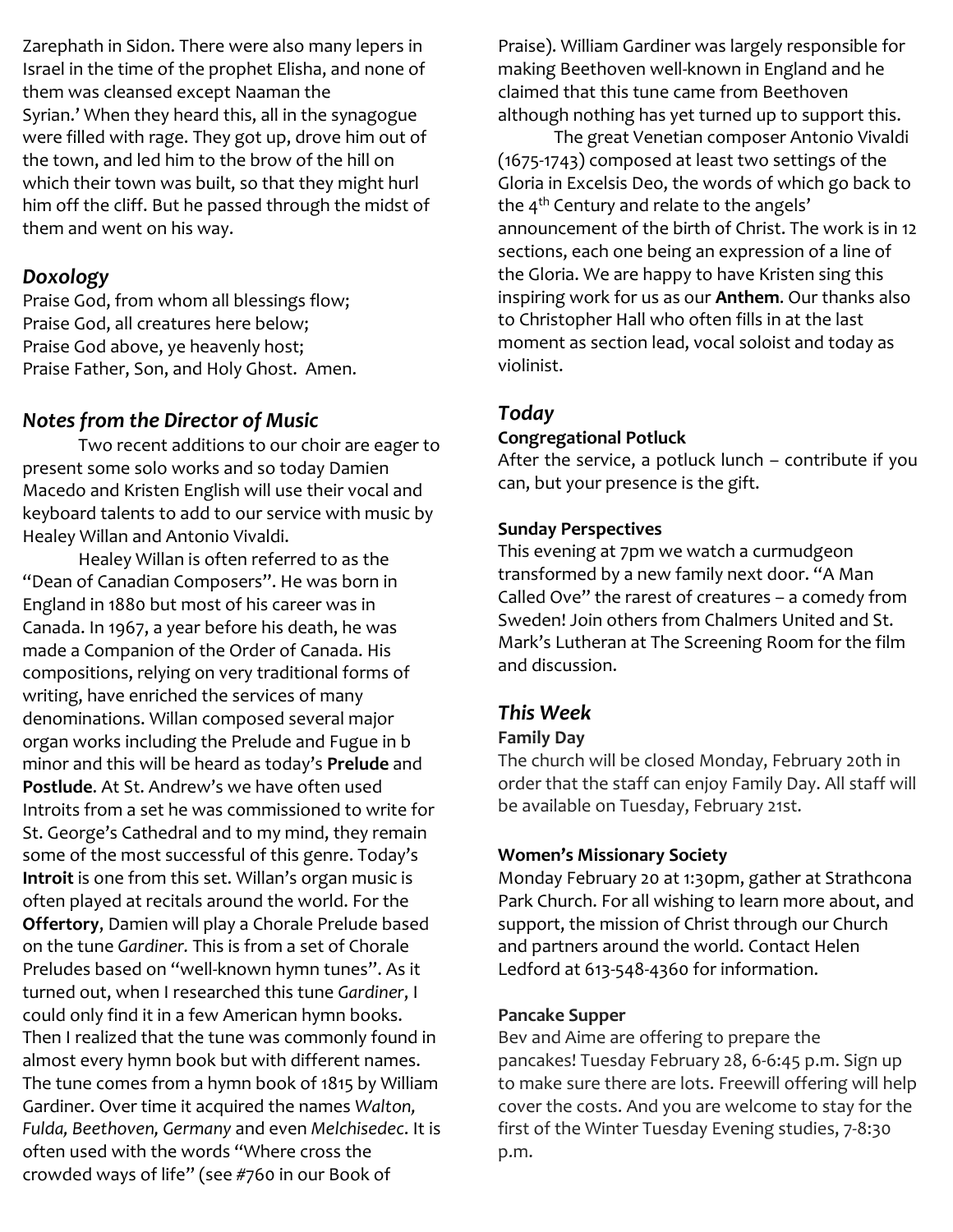Zarephath in Sidon. There were also many lepers in Israel in the time of the prophet Elisha, and none of them was cleansed except Naaman the Syrian.' When they heard this, all in the synagogue were filled with rage. They got up, drove him out of the town, and led him to the brow of the hill on which their town was built, so that they might hurl him off the cliff. But he passed through the midst of them and went on his way.

#### *Doxology*

Praise God, from whom all blessings flow; Praise God, all creatures here below; Praise God above, ye heavenly host; Praise Father, Son, and Holy Ghost. Amen.

## *Notes from the Director of Music*

Two recent additions to our choir are eager to present some solo works and so today Damien Macedo and Kristen English will use their vocal and keyboard talents to add to our service with music by Healey Willan and Antonio Vivaldi.

Healey Willan is often referred to as the "Dean of Canadian Composers". He was born in England in 1880 but most of his career was in Canada. In 1967, a year before his death, he was made a Companion of the Order of Canada. His compositions, relying on very traditional forms of writing, have enriched the services of many denominations. Willan composed several major organ works including the Prelude and Fugue in b minor and this will be heard as today's **Prelude** and **Postlude**. At St. Andrew's we have often used Introits from a set he was commissioned to write for St. George's Cathedral and to my mind, they remain some of the most successful of this genre. Today's **Introit** is one from this set. Willan's organ music is often played at recitals around the world. For the **Offertory**, Damien will play a Chorale Prelude based on the tune *Gardiner.* This is from a set of Chorale Preludes based on "well-known hymn tunes". As it turned out, when I researched this tune *Gardiner*, I could only find it in a few American hymn books. Then I realized that the tune was commonly found in almost every hymn book but with different names. The tune comes from a hymn book of 1815 by William Gardiner. Over time it acquired the names *Walton, Fulda, Beethoven, Germany* and even *Melchisedec*. It is often used with the words "Where cross the crowded ways of life" (see #760 in our Book of

Praise). William Gardiner was largely responsible for making Beethoven well-known in England and he claimed that this tune came from Beethoven although nothing has yet turned up to support this.

The great Venetian composer Antonio Vivaldi (1675-1743) composed at least two settings of the Gloria in Excelsis Deo, the words of which go back to the  $4<sup>th</sup>$  Century and relate to the angels' announcement of the birth of Christ. The work is in 12 sections, each one being an expression of a line of the Gloria. We are happy to have Kristen sing this inspiring work for us as our **Anthem**. Our thanks also to Christopher Hall who often fills in at the last moment as section lead, vocal soloist and today as violinist.

### *Today*

#### **Congregational Potluck**

After the service, a potluck lunch – contribute if you can, but your presence is the gift.

#### **Sunday Perspectives**

This evening at 7pm we watch a curmudgeon transformed by a new family next door. "A Man Called Ove" the rarest of creatures – a comedy from Sweden! Join others from Chalmers United and St. Mark's Lutheran at The Screening Room for the film and discussion.

# *This Week*

#### **Family Day**

The church will be closed Monday, February 20th in order that the staff can enjoy Family Day. All staff will be available on Tuesday, February 21st.

#### **Women's Missionary Society**

Monday February 20 at 1:30pm, gather at Strathcona Park Church. For all wishing to learn more about, and support, the mission of Christ through our Church and partners around the world. Contact Helen Ledford at 613-548-4360 for information.

#### **Pancake Supper**

Bev and Aime are offering to prepare the pancakes! Tuesday February 28, 6-6:45 p.m. Sign up to make sure there are lots. Freewill offering will help cover the costs. And you are welcome to stay for the first of the Winter Tuesday Evening studies, 7-8:30 p.m.